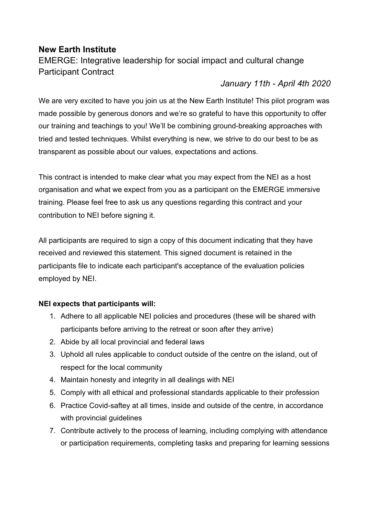# **New Earth Institute**

EMERGE: Integrative leadership for social impact and cultural change Participant Contract

# *January 11th - April 4th 2020*

We are very excited to have you join us at the New Earth Institute! This pilot program was made possible by generous donors and we're so grateful to have this opportunity to offer our training and teachings to you! We'll be combining ground-breaking approaches with tried and tested techniques. Whilst everything is new, we strive to do our best to be as transparent as possible about our values, expectations and actions.

This contract is intended to make clear what you may expect from the NEI as a host organisation and what we expect from you as a participant on the EMERGE immersive training. Please feel free to ask us any questions regarding this contract and your contribution to NEI before signing it.

All participants are required to sign a copy of this document indicating that they have received and reviewed this statement. This signed document is retained in the participants file to indicate each participant's acceptance of the evaluation policies employed by NEI.

# **NEI expects that participants will:**

- 1. Adhere to all applicable NEI policies and procedures (these will be shared with participants before arriving to the retreat or soon after they arrive)
- 2. Abide by all local provincial and federal laws
- 3. Uphold all rules applicable to conduct outside of the centre on the island, out of respect for the local community
- 4. Maintain honesty and integrity in all dealings with NEI
- 5. Comply with all ethical and professional standards applicable to their profession
- 6. Practice Covid-saftey at all times, inside and outside of the centre, in accordance with provincial guidelines
- 7. Contribute actively to the process of learning, including complying with attendance or participation requirements, completing tasks and preparing for learning sessions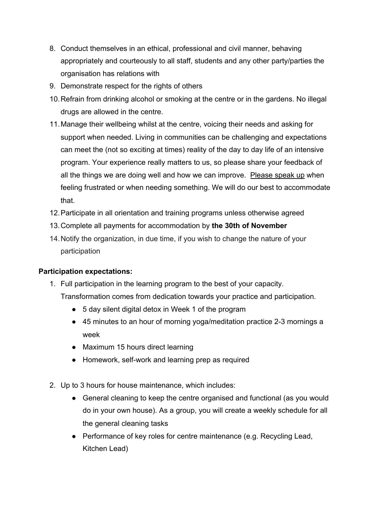- 8. Conduct themselves in an ethical, professional and civil manner, behaving appropriately and courteously to all staff, students and any other party/parties the organisation has relations with
- 9. Demonstrate respect for the rights of others
- 10.Refrain from drinking alcohol or smoking at the centre or in the gardens. No illegal drugs are allowed in the centre.
- 11.Manage their wellbeing whilst at the centre, voicing their needs and asking for support when needed. Living in communities can be challenging and expectations can meet the (not so exciting at times) reality of the day to day life of an intensive program. Your experience really matters to us, so please share your feedback of all the things we are doing well and how we can improve. Please speak up when feeling frustrated or when needing something. We will do our best to accommodate that.
- 12.Participate in all orientation and training programs unless otherwise agreed
- 13.Complete all payments for accommodation by **the 30th of November**
- 14.Notify the organization, in due time, if you wish to change the nature of your participation

# **Participation expectations:**

- 1. Full participation in the learning program to the best of your capacity.
	- Transformation comes from dedication towards your practice and participation.
		- 5 day silent digital detox in Week 1 of the program
		- 45 minutes to an hour of morning yoga/meditation practice 2-3 mornings a week
		- Maximum 15 hours direct learning
		- Homework, self-work and learning prep as required
- 2. Up to 3 hours for house maintenance, which includes:
	- General cleaning to keep the centre organised and functional (as you would do in your own house). As a group, you will create a weekly schedule for all the general cleaning tasks
	- Performance of key roles for centre maintenance (e.g. Recycling Lead, Kitchen Lead)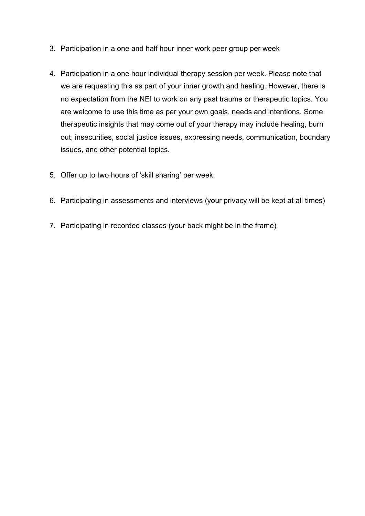- 3. Participation in a one and half hour inner work peer group per week
- 4. Participation in a one hour individual therapy session per week. Please note that we are requesting this as part of your inner growth and healing. However, there is no expectation from the NEI to work on any past trauma or therapeutic topics. You are welcome to use this time as per your own goals, needs and intentions. Some therapeutic insights that may come out of your therapy may include healing, burn out, insecurities, social justice issues, expressing needs, communication, boundary issues, and other potential topics.
- 5. Offer up to two hours of 'skill sharing' per week.
- 6. Participating in assessments and interviews (your privacy will be kept at all times)
- 7. Participating in recorded classes (your back might be in the frame)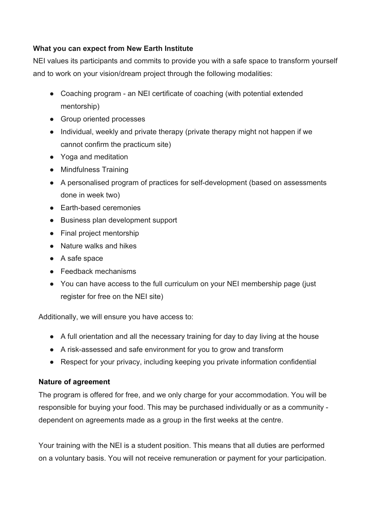#### **What you can expect from New Earth Institute**

NEI values its participants and commits to provide you with a safe space to transform yourself and to work on your vision/dream project through the following modalities:

- Coaching program an NEI certificate of coaching (with potential extended mentorship)
- Group oriented processes
- Individual, weekly and private therapy (private therapy might not happen if we cannot confirm the practicum site)
- Yoga and meditation
- Mindfulness Training
- A personalised program of practices for self-development (based on assessments done in week two)
- Earth-based ceremonies
- Business plan development support
- Final project mentorship
- Nature walks and hikes
- A safe space
- Feedback mechanisms
- You can have access to the full curriculum on your NEI membership page (just register for free on the NEI site)

Additionally, we will ensure you have access to:

- A full orientation and all the necessary training for day to day living at the house
- A risk-assessed and safe environment for you to grow and transform
- Respect for your privacy, including keeping you private information confidential

# **Nature of agreement**

The program is offered for free, and we only charge for your accommodation. You will be responsible for buying your food. This may be purchased individually or as a community dependent on agreements made as a group in the first weeks at the centre.

Your training with the NEI is a student position. This means that all duties are performed on a voluntary basis. You will not receive remuneration or payment for your participation.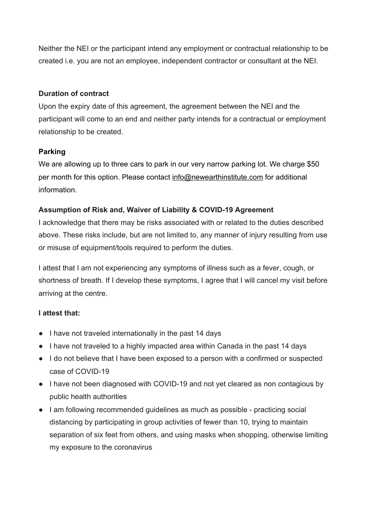Neither the NEI or the participant intend any employment or contractual relationship to be created i.e. you are not an employee, independent contractor or consultant at the NEI.

#### **Duration of contract**

Upon the expiry date of this agreement, the agreement between the NEI and the participant will come to an end and neither party intends for a contractual or employment relationship to be created.

# **Parking**

We are allowing up to three cars to park in our very narrow parking lot. We charge \$50 per month for this option. Please contact info@newearthinstitute.com for additional information.

# **Assumption of Risk and, Waiver of Liability & COVID-19 Agreement**

I acknowledge that there may be risks associated with or related to the duties described above. These risks include, but are not limited to, any manner of injury resulting from use or misuse of equipment/tools required to perform the duties.

I attest that I am not experiencing any symptoms of illness such as a fever, cough, or shortness of breath. If I develop these symptoms, I agree that I will cancel my visit before arriving at the centre.

# **I attest that:**

- I have not traveled internationally in the past 14 days
- I have not traveled to a highly impacted area within Canada in the past 14 days
- I do not believe that I have been exposed to a person with a confirmed or suspected case of COVID-19
- I have not been diagnosed with COVID-19 and not yet cleared as non contagious by public health authorities
- I am following recommended guidelines as much as possible practicing social distancing by participating in group activities of fewer than 10, trying to maintain separation of six feet from others, and using masks when shopping, otherwise limiting my exposure to the coronavirus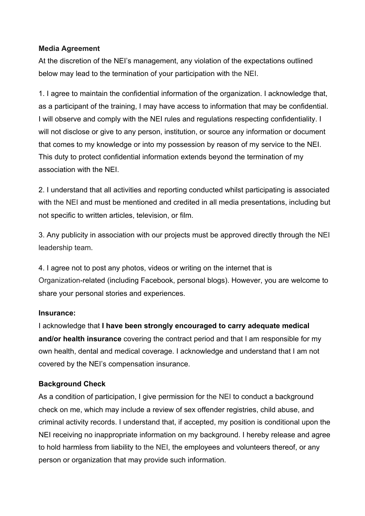#### **Media Agreement**

At the discretion of the NEI's management, any violation of the expectations outlined below may lead to the termination of your participation with the NEI.

1. I agree to maintain the confidential information of the organization. I acknowledge that, as a participant of the training, I may have access to information that may be confidential. I will observe and comply with the NEI rules and regulations respecting confidentiality. I will not disclose or give to any person, institution, or source any information or document that comes to my knowledge or into my possession by reason of my service to the NEI. This duty to protect confidential information extends beyond the termination of my association with the NEI.

2. I understand that all activities and reporting conducted whilst participating is associated with the NEI and must be mentioned and credited in all media presentations, including but not specific to written articles, television, or film.

3. Any publicity in association with our projects must be approved directly through the NEI leadership team.

4. I agree not to post any photos, videos or writing on the internet that is Organization-related (including Facebook, personal blogs). However, you are welcome to share your personal stories and experiences.

#### **Insurance:**

I acknowledge that **I have been strongly encouraged to carry adequate medical and/or health insurance** covering the contract period and that I am responsible for my own health, dental and medical coverage. I acknowledge and understand that I am not covered by the NEI's compensation insurance.

# **Background Check**

As a condition of participation, I give permission for the NEI to conduct a background check on me, which may include a review of sex offender registries, child abuse, and criminal activity records. I understand that, if accepted, my position is conditional upon the NEI receiving no inappropriate information on my background. I hereby release and agree to hold harmless from liability to the NEI, the employees and volunteers thereof, or any person or organization that may provide such information.